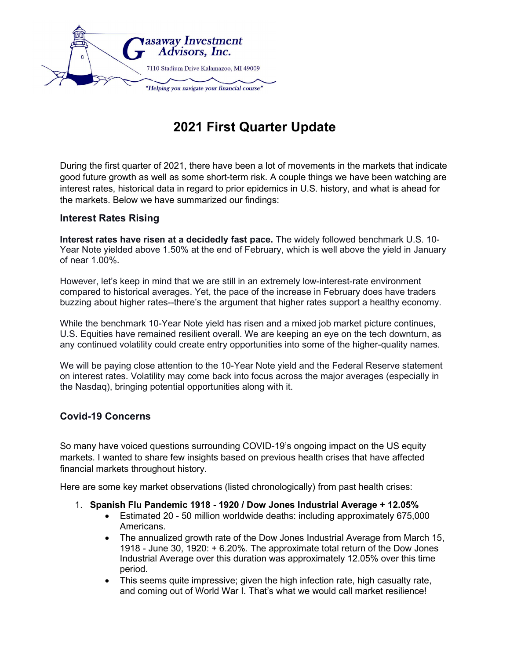

## 2021 First Quarter Update

During the first quarter of 2021, there have been a lot of movements in the markets that indicate good future growth as well as some short-term risk. A couple things we have been watching are interest rates, historical data in regard to prior epidemics in U.S. history, and what is ahead for the markets. Below we have summarized our findings:

## Interest Rates Rising

Interest rates have risen at a decidedly fast pace. The widely followed benchmark U.S. 10- Year Note yielded above 1.50% at the end of February, which is well above the yield in January of near 1.00%.

However, let's keep in mind that we are still in an extremely low-interest-rate environment compared to historical averages. Yet, the pace of the increase in February does have traders buzzing about higher rates--there's the argument that higher rates support a healthy economy.

While the benchmark 10-Year Note yield has risen and a mixed job market picture continues, U.S. Equities have remained resilient overall. We are keeping an eye on the tech downturn, as any continued volatility could create entry opportunities into some of the higher-quality names.

We will be paying close attention to the 10-Year Note yield and the Federal Reserve statement on interest rates. Volatility may come back into focus across the major averages (especially in the Nasdaq), bringing potential opportunities along with it.

## Covid-19 Concerns

So many have voiced questions surrounding COVID-19's ongoing impact on the US equity markets. I wanted to share few insights based on previous health crises that have affected financial markets throughout history.

Here are some key market observations (listed chronologically) from past health crises:

- 1. Spanish Flu Pandemic 1918 1920 / Dow Jones Industrial Average + 12.05%
	- Estimated 20 50 million worldwide deaths: including approximately 675,000 Americans.
	- The annualized growth rate of the Dow Jones Industrial Average from March 15, 1918 - June 30, 1920: + 6.20%. The approximate total return of the Dow Jones Industrial Average over this duration was approximately 12.05% over this time period.
	- This seems quite impressive; given the high infection rate, high casualty rate, and coming out of World War I. That's what we would call market resilience!